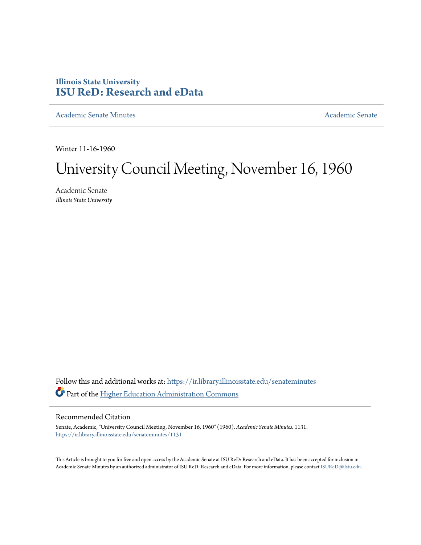# **Illinois State University [ISU ReD: Research and eData](https://ir.library.illinoisstate.edu?utm_source=ir.library.illinoisstate.edu%2Fsenateminutes%2F1131&utm_medium=PDF&utm_campaign=PDFCoverPages)**

[Academic Senate Minutes](https://ir.library.illinoisstate.edu/senateminutes?utm_source=ir.library.illinoisstate.edu%2Fsenateminutes%2F1131&utm_medium=PDF&utm_campaign=PDFCoverPages) [Academic Senate](https://ir.library.illinoisstate.edu/senate?utm_source=ir.library.illinoisstate.edu%2Fsenateminutes%2F1131&utm_medium=PDF&utm_campaign=PDFCoverPages) Academic Senate

Winter 11-16-1960

# University Council Meeting, November 16, 1960

Academic Senate *Illinois State University*

Follow this and additional works at: [https://ir.library.illinoisstate.edu/senateminutes](https://ir.library.illinoisstate.edu/senateminutes?utm_source=ir.library.illinoisstate.edu%2Fsenateminutes%2F1131&utm_medium=PDF&utm_campaign=PDFCoverPages) Part of the [Higher Education Administration Commons](http://network.bepress.com/hgg/discipline/791?utm_source=ir.library.illinoisstate.edu%2Fsenateminutes%2F1131&utm_medium=PDF&utm_campaign=PDFCoverPages)

## Recommended Citation

Senate, Academic, "University Council Meeting, November 16, 1960" (1960). *Academic Senate Minutes*. 1131. [https://ir.library.illinoisstate.edu/senateminutes/1131](https://ir.library.illinoisstate.edu/senateminutes/1131?utm_source=ir.library.illinoisstate.edu%2Fsenateminutes%2F1131&utm_medium=PDF&utm_campaign=PDFCoverPages)

This Article is brought to you for free and open access by the Academic Senate at ISU ReD: Research and eData. It has been accepted for inclusion in Academic Senate Minutes by an authorized administrator of ISU ReD: Research and eData. For more information, please contact [ISUReD@ilstu.edu.](mailto:ISUReD@ilstu.edu)